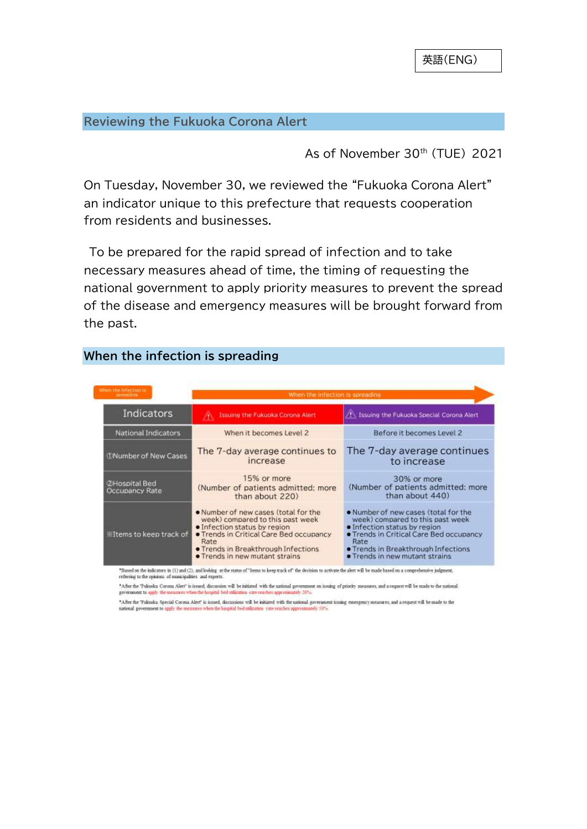#### **Reviewing the Fukuoka Corona Alert**

As of November 30<sup>th</sup> (TUE) 2021

On Tuesday, November 30, we reviewed the "Fukuoka Corona Alert" an indicator unique to this prefecture that requests cooperation from residents and businesses.

To be prepared for the rapid spread of infection and to take necessary measures ahead of time, the timing of requesting the national government to apply priority measures to prevent the spread of the disease and emergency measures will be brought forward from the past.

| When the intertign is<br>summeding:    | When the infection is spreading                                                                                                                                                                                                                    |                                                                                                                                                                                                                                                           |  |
|----------------------------------------|----------------------------------------------------------------------------------------------------------------------------------------------------------------------------------------------------------------------------------------------------|-----------------------------------------------------------------------------------------------------------------------------------------------------------------------------------------------------------------------------------------------------------|--|
| Indicators                             | Issuing the Fukuoka Corona Alert                                                                                                                                                                                                                   | 1 Issuing the Fukuoka Special Corona Alert                                                                                                                                                                                                                |  |
| National Indicators                    | When it becomes Level 2                                                                                                                                                                                                                            | Before it becomes Level 2                                                                                                                                                                                                                                 |  |
| <b>CNumber of New Cases</b>            | The 7-day average continues to<br>increase                                                                                                                                                                                                         | The 7-day average continues<br>to increase                                                                                                                                                                                                                |  |
| <b>2Hospital Bed</b><br>Occupancy Rate | 15% or more<br>(Number of patients admitted: more<br>than about 220)                                                                                                                                                                               | 30% or more<br>(Number of patients admitted: more<br>than about 440)                                                                                                                                                                                      |  |
| <b>KItems to keep track of</b>         | . Number of new cases (total for the<br>week) compared to this past week<br>· Infection status by region<br><b>• Trends in Critical Care Bed occupancy</b><br>Rate<br><b>• Trends in Breakthrough Infections</b><br>. Trends in new mutant strains | . Number of new cases (total for the<br>week) compared to this past week<br>· Infection status by region<br><b>• Trends in Critical Care Bed occupancy</b><br>Rate<br><b>• Trends in Breakthrough Infections</b><br><b>• Trends in new mutant strains</b> |  |

## **When the infection is spreading**

"Based on the indicators in (1) and (2), and looking at the status of "ltems to keep track of" the decision to activate the alert will be made based on a comprehensive judgment, referring to the opinions of man cipablies and expert

\*After the Tukuoka Corona Alert' is issued, discussion will be initiated with the national government on issuing of priority measures, and a request will be made to the national government to apply the measures when the hospital bed utilization vate reaches approximately 20%.

"After the Tukuoka Special Corona Alert" is issued, discussions will be inhisted with the national government issuing emergency measures, and a request will be made to the<br>national government to apply the measures when the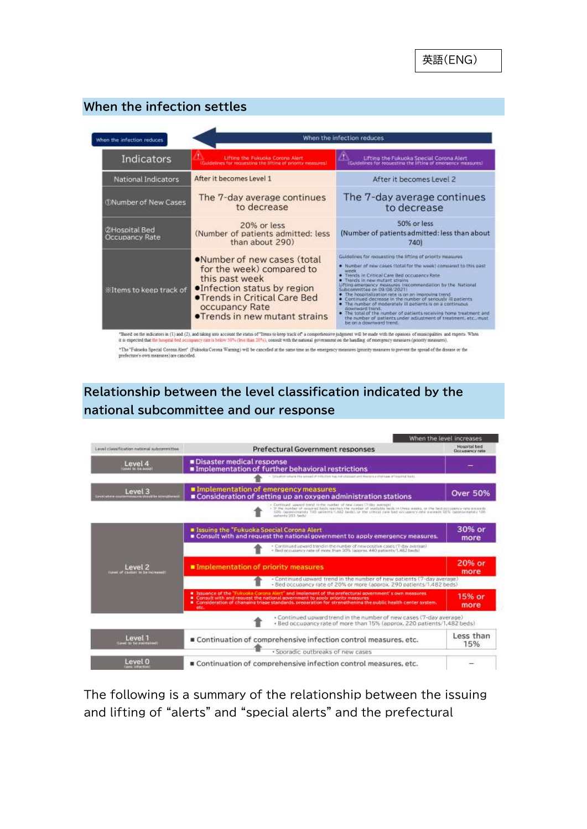## **When the infection settles**

| When the infection reduces                   |                                                                                                                                                                                                                   | When the infection reduces                                                                                                                                                                                                                                                                                                                                                                                                                                                                                                                                                                                                                                                                             |  |  |
|----------------------------------------------|-------------------------------------------------------------------------------------------------------------------------------------------------------------------------------------------------------------------|--------------------------------------------------------------------------------------------------------------------------------------------------------------------------------------------------------------------------------------------------------------------------------------------------------------------------------------------------------------------------------------------------------------------------------------------------------------------------------------------------------------------------------------------------------------------------------------------------------------------------------------------------------------------------------------------------------|--|--|
| Indicators                                   | Lifting the Fukuoka Corona Alert<br>Guidelines for requesting the lifting of priority measures)                                                                                                                   | Lifting the Fukuoka Special Corona Alert<br>(Guidelines for requesting the lifting of emergency measures)                                                                                                                                                                                                                                                                                                                                                                                                                                                                                                                                                                                              |  |  |
| National Indicators                          | After it becomes Level 1                                                                                                                                                                                          | After it becomes Level 2                                                                                                                                                                                                                                                                                                                                                                                                                                                                                                                                                                                                                                                                               |  |  |
| <b>CNumber of New Cases</b>                  | The 7-day average continues<br>to decrease                                                                                                                                                                        | The 7-day average continues<br>to decrease                                                                                                                                                                                                                                                                                                                                                                                                                                                                                                                                                                                                                                                             |  |  |
| <b>2Hospital Bed</b><br>Occupancy Rate       | 20% or less<br>(Number of patients admitted: less<br>than about 290)                                                                                                                                              | 50% or less<br>(Number of patients admitted: less than about<br>740)                                                                                                                                                                                                                                                                                                                                                                                                                                                                                                                                                                                                                                   |  |  |
| <b><i><u>Eltems</u></i></b> to keep track of | .Number of new cases (total<br>for the week) compared to<br>this past week<br><b>•Infection status by region</b><br><b>•Trends in Critical Care Bed</b><br>occupancy Rate<br><b>•Trends in new mutant strains</b> | Guidelines for requesting the lifting of priority measures<br>. Number of new cases (total for the week) compared to this past<br><b>WARR</b><br>. Trends in Critical Care Bed occupancy Rate<br>. Trends in new mutant strains<br>Lifting emergency measures (recommendation by the National<br>Subcommittee on 09/08/2021<br>. The hospitalization rate is on an improving trend<br>. Continued decrease in the number of seriously @ patients<br>. The number of moderately ill patients is on a continuous<br>downward trend.<br>. The total of the number of patients receiving home treatment and<br>the number of patients under adjustment of treatment, etc., must<br>be on a downward trend. |  |  |

\*The 'Fukuoka Special Corona Alert' (Fukuoka Corona Warning) will be cancelled at the same time as the omergency measures (priority measures to provent the opread of the disease or the preferinte's dominization has canceled

## **Relationship between the level classification indicated by the national subcommittee and our response**



The following is a summary of the relationship between the issuing and lifting of "alerts" and "special alerts" and the prefectural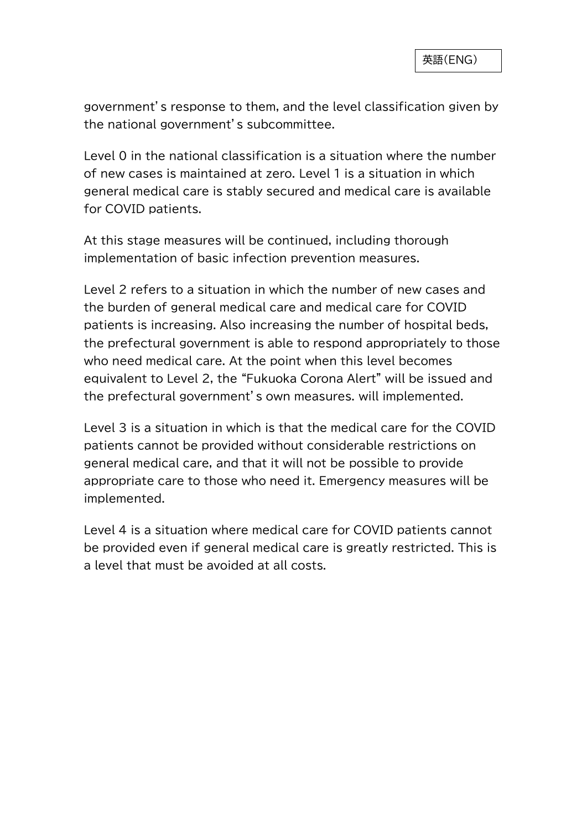government's response to them, and the level classification given by the national government's subcommittee.

Level 0 in the national classification is a situation where the number of new cases is maintained at zero. Level 1 is a situation in which general medical care is stably secured and medical care is available for COVID patients.

At this stage measures will be continued, including thorough implementation of basic infection prevention measures.

Level 2 refers to a situation in which the number of new cases and the burden of general medical care and medical care for COVID patients is increasing. Also increasing the number of hospital beds, the prefectural government is able to respond appropriately to those who need medical care. At the point when this level becomes equivalent to Level 2, the "Fukuoka Corona Alert" will be issued and the prefectural government's own measures. will implemented.

Level 3 is a situation in which is that the medical care for the COVID patients cannot be provided without considerable restrictions on general medical care, and that it will not be possible to provide appropriate care to those who need it. Emergency measures will be implemented.

Level 4 is a situation where medical care for COVID patients cannot be provided even if general medical care is greatly restricted. This is a level that must be avoided at all costs.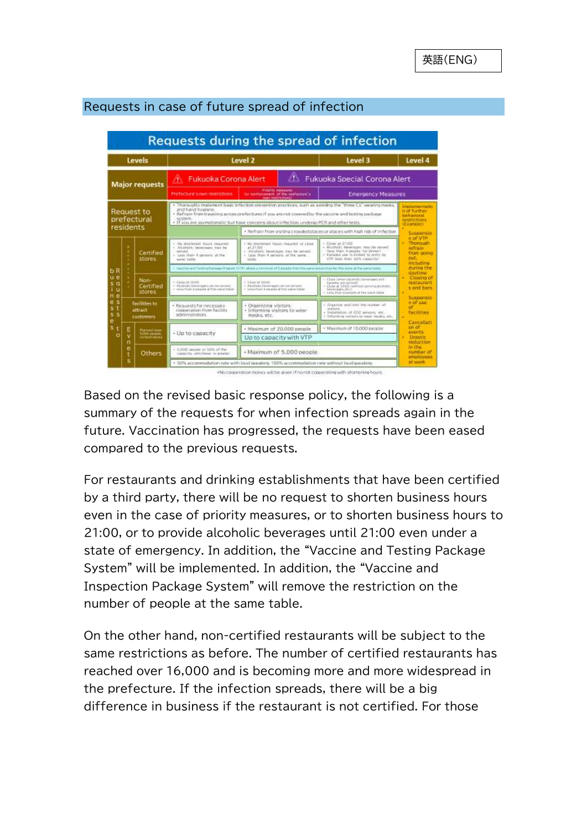

## Requests in case of future spread of infection

Based on the revised basic response policy, the following is a summary of the requests for when infection spreads again in the future. Vaccination has progressed, the requests have been eased compared to the previous requests.

For restaurants and drinking establishments that have been certified by a third party, there will be no request to shorten business hours even in the case of priority measures, or to shorten business hours to 21:00, or to provide alcoholic beverages until 21:00 even under a state of emergency. In addition, the "Vaccine and Testing Package System" will be implemented. In addition, the "Vaccine and Inspection Package System" will remove the restriction on the number of people at the same table.

On the other hand, non-certified restaurants will be subject to the same restrictions as before. The number of certified restaurants has reached over 16,000 and is becoming more and more widespread in the prefecture. If the infection spreads, there will be a big difference in business if the restaurant is not certified. For those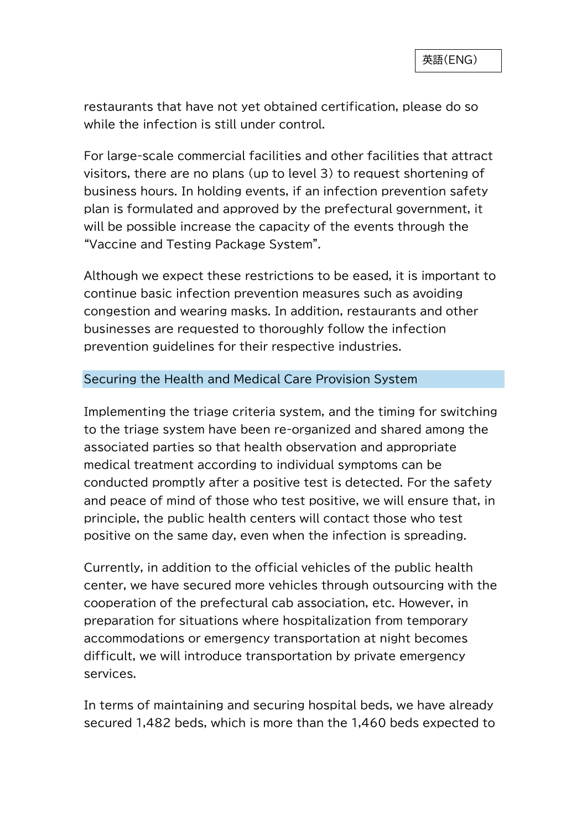restaurants that have not yet obtained certification, please do so while the infection is still under control.

For large-scale commercial facilities and other facilities that attract visitors, there are no plans (up to level 3) to request shortening of business hours. In holding events, if an infection prevention safety plan is formulated and approved by the prefectural government, it will be possible increase the capacity of the events through the "Vaccine and Testing Package System".

Although we expect these restrictions to be eased, it is important to continue basic infection prevention measures such as avoiding congestion and wearing masks. In addition, restaurants and other businesses are requested to thoroughly follow the infection prevention guidelines for their respective industries.

### Securing the Health and Medical Care Provision System

Implementing the triage criteria system, and the timing for switching to the triage system have been re-organized and shared among the associated parties so that health observation and appropriate medical treatment according to individual symptoms can be conducted promptly after a positive test is detected. For the safety and peace of mind of those who test positive, we will ensure that, in principle, the public health centers will contact those who test positive on the same day, even when the infection is spreading.

Currently, in addition to the official vehicles of the public health center, we have secured more vehicles through outsourcing with the cooperation of the prefectural cab association, etc. However, in preparation for situations where hospitalization from temporary accommodations or emergency transportation at night becomes difficult, we will introduce transportation by private emergency services.

In terms of maintaining and securing hospital beds, we have already secured 1,482 beds, which is more than the 1,460 beds expected to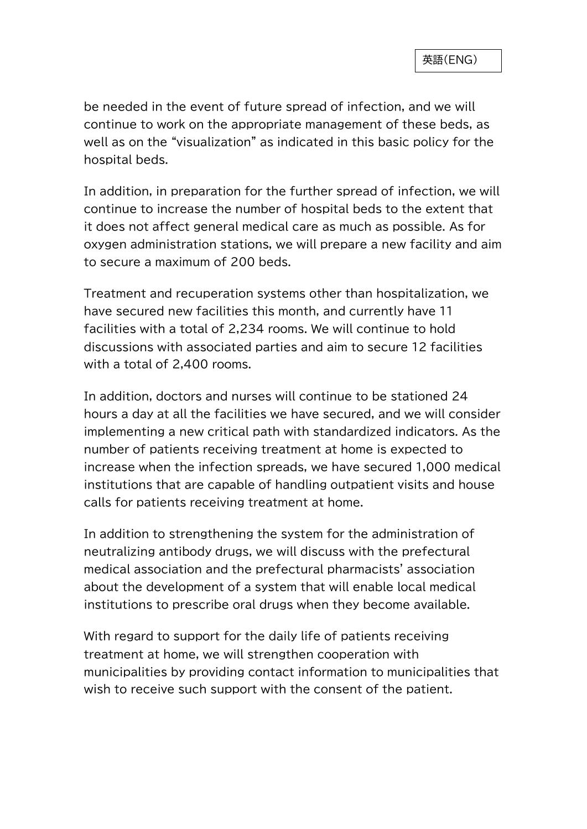be needed in the event of future spread of infection, and we will continue to work on the appropriate management of these beds, as well as on the "visualization" as indicated in this basic policy for the hospital beds.

In addition, in preparation for the further spread of infection, we will continue to increase the number of hospital beds to the extent that it does not affect general medical care as much as possible. As for oxygen administration stations, we will prepare a new facility and aim to secure a maximum of 200 beds.

Treatment and recuperation systems other than hospitalization, we have secured new facilities this month, and currently have 11 facilities with a total of 2,234 rooms. We will continue to hold discussions with associated parties and aim to secure 12 facilities with a total of 2,400 rooms.

In addition, doctors and nurses will continue to be stationed 24 hours a day at all the facilities we have secured, and we will consider implementing a new critical path with standardized indicators. As the number of patients receiving treatment at home is expected to increase when the infection spreads, we have secured 1,000 medical institutions that are capable of handling outpatient visits and house calls for patients receiving treatment at home.

In addition to strengthening the system for the administration of neutralizing antibody drugs, we will discuss with the prefectural medical association and the prefectural pharmacists' association about the development of a system that will enable local medical institutions to prescribe oral drugs when they become available.

With regard to support for the daily life of patients receiving treatment at home, we will strengthen cooperation with municipalities by providing contact information to municipalities that wish to receive such support with the consent of the patient.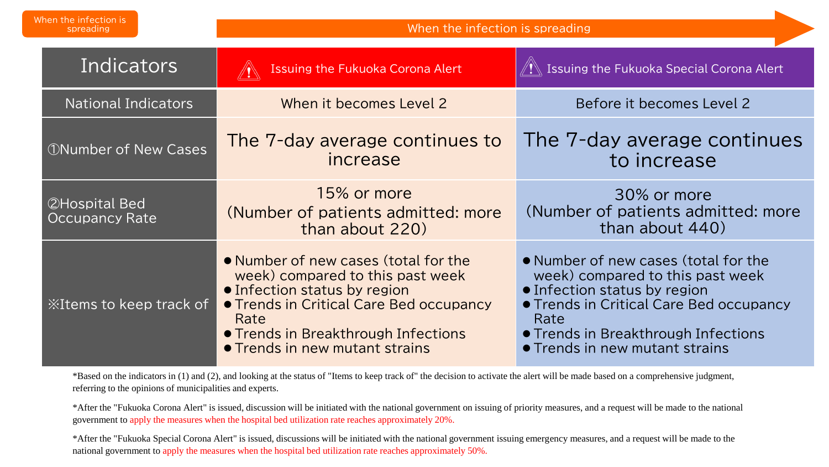| When the infection is<br>spreading            | When the infection is spreading                                                                                                                                                                                                             |                                                                                                                                                                                                                                             |  |
|-----------------------------------------------|---------------------------------------------------------------------------------------------------------------------------------------------------------------------------------------------------------------------------------------------|---------------------------------------------------------------------------------------------------------------------------------------------------------------------------------------------------------------------------------------------|--|
| Indicators                                    | <b>Issuing the Fukuoka Corona Alert</b>                                                                                                                                                                                                     | $\sqrt{!}$ Issuing the Fukuoka Special Corona Alert                                                                                                                                                                                         |  |
| <b>National Indicators</b>                    | When it becomes Level 2                                                                                                                                                                                                                     | Before it becomes Level 2                                                                                                                                                                                                                   |  |
| <b><i>ONumber of New Cases</i></b>            | The 7-day average continues to<br>increase                                                                                                                                                                                                  | The 7-day average continues<br>to increase                                                                                                                                                                                                  |  |
| <b>2Hospital Bed</b><br><b>Occupancy Rate</b> | 15% or more<br>(Number of patients admitted: more<br>than about 220)                                                                                                                                                                        | 30% or more<br>(Number of patients admitted: more<br>than about 440)                                                                                                                                                                        |  |
| <b>Example 25 Seep track of</b>               | • Number of new cases (total for the<br>week) compared to this past week<br>• Infection status by region<br><b>• Trends in Critical Care Bed occupancy</b><br>Rate<br>• Trends in Breakthrough Infections<br>• Trends in new mutant strains | • Number of new cases (total for the<br>week) compared to this past week<br>• Infection status by region<br><b>• Trends in Critical Care Bed occupancy</b><br>Rate<br>• Trends in Breakthrough Infections<br>• Trends in new mutant strains |  |

\*Based on the indicators in (1) and (2), and looking at the status of "Items to keep track of" the decision to activate the alert will be made based on a comprehensive judgment, referring to the opinions of municipalities and experts.

\*After the "Fukuoka Corona Alert" is issued, discussion will be initiated with the national government on issuing of priority measures, and a request will be made to the national government to apply the measures when the hospital bed utilization rate reaches approximately 20%.

\*After the "Fukuoka Special Corona Alert" is issued, discussions will be initiated with the national government issuing emergency measures, and a request will be made to the national government to apply the measures when the hospital bed utilization rate reaches approximately 50%.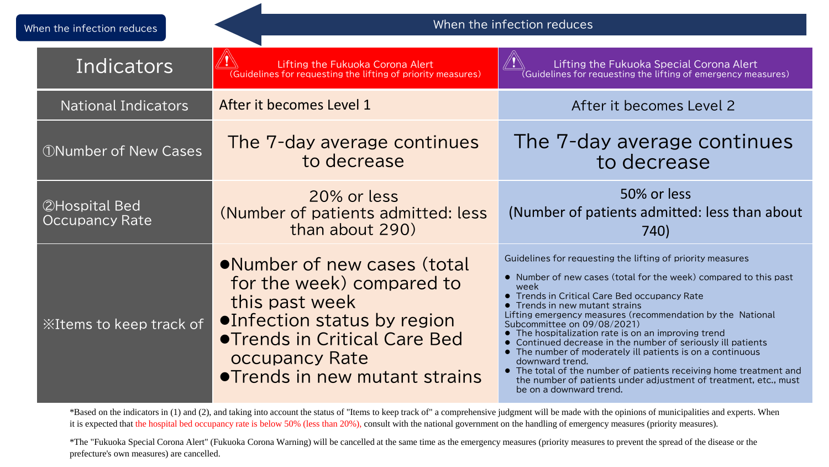| When the infection reduces |                                               | When the infection reduces                                                                                                                                                                                   |                                                                                                                                                                                                                                                                                                                                                                                                                                                                                                                                                                                                                                                                                                    |  |
|----------------------------|-----------------------------------------------|--------------------------------------------------------------------------------------------------------------------------------------------------------------------------------------------------------------|----------------------------------------------------------------------------------------------------------------------------------------------------------------------------------------------------------------------------------------------------------------------------------------------------------------------------------------------------------------------------------------------------------------------------------------------------------------------------------------------------------------------------------------------------------------------------------------------------------------------------------------------------------------------------------------------------|--|
| Indicators                 |                                               | Lifting the Fukuoka Corona Alert<br>(Guidelines for requesting the lifting of priority measures)                                                                                                             | Lifting the Fukuoka Special Corona Alert<br>$\sqrt[\left($ Guidelines for requesting the lifting of emergency measures)                                                                                                                                                                                                                                                                                                                                                                                                                                                                                                                                                                            |  |
|                            | <b>National Indicators</b>                    | After it becomes Level 1                                                                                                                                                                                     | After it becomes Level 2                                                                                                                                                                                                                                                                                                                                                                                                                                                                                                                                                                                                                                                                           |  |
|                            | <b><i>ONumber of New Cases</i></b>            | The 7-day average continues<br>to decrease                                                                                                                                                                   | The 7-day average continues<br>to decrease                                                                                                                                                                                                                                                                                                                                                                                                                                                                                                                                                                                                                                                         |  |
|                            | <b>2Hospital Bed</b><br><b>Occupancy Rate</b> | 20% or less<br>(Number of patients admitted: less<br>than about 290)                                                                                                                                         | 50% or less<br>(Number of patients admitted: less than about<br>740)                                                                                                                                                                                                                                                                                                                                                                                                                                                                                                                                                                                                                               |  |
|                            | <b>XItems to keep track of</b>                | •Number of new cases (total<br>for the week) compared to<br>this past week<br>●Infection status by region<br><b>. Trends in Critical Care Bed</b><br><b>occupancy Rate</b><br>● Trends in new mutant strains | Guidelines for requesting the lifting of priority measures<br>• Number of new cases (total for the week) compared to this past<br>week<br>• Trends in Critical Care Bed occupancy Rate<br>• Trends in new mutant strains<br>Lifting emergency measures (recommendation by the National<br>Subcommittee on 09/08/2021)<br>• The hospitalization rate is on an improving trend<br>• Continued decrease in the number of seriously ill patients<br>• The number of moderately ill patients is on a continuous<br>downward trend.<br>• The total of the number of patients receiving home treatment and<br>the number of patients under adjustment of treatment, etc., must<br>be on a downward trend. |  |

\*Based on the indicators in (1) and (2), and taking into account the status of "Items to keep track of" a comprehensive judgment will be made with the opinions of municipalities and experts. When it is expected that the hospital bed occupancy rate is below 50% (less than 20%), consult with the national government on the handling of emergency measures (priority measures).

\*The "Fukuoka Special Corona Alert" (Fukuoka Corona Warning) will be cancelled at the same time as the emergency measures (priority measures to prevent the spread of the disease or the prefecture's own measures) are cancelled.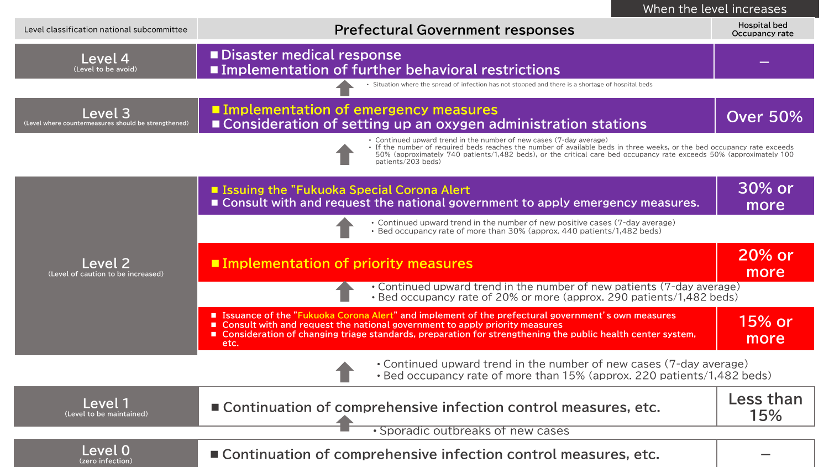